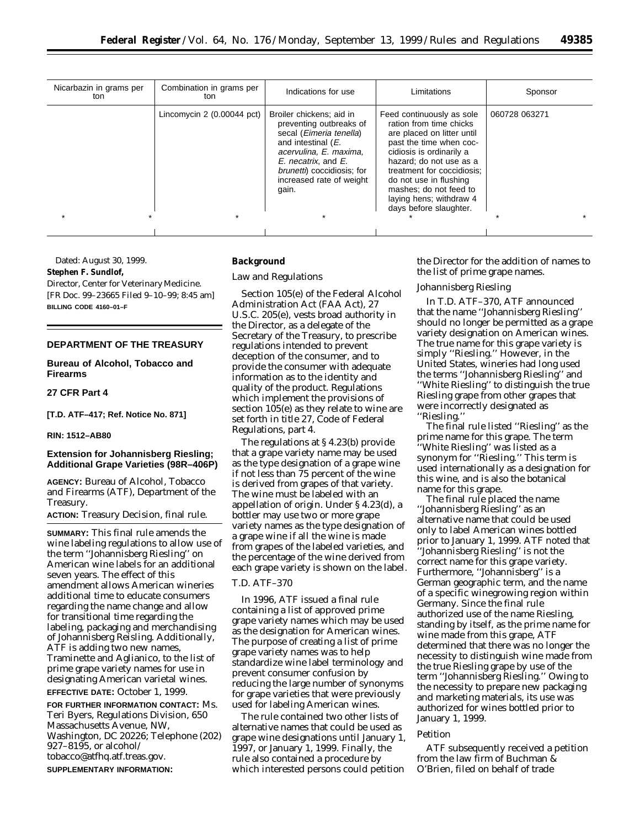| Nicarbazin in grams per<br>ton | Combination in grams per<br>ton | Indications for use                                                                                                                                                                                                              | Limitations                                                                                                                                                                                                                                                                                                 | Sponsor       |
|--------------------------------|---------------------------------|----------------------------------------------------------------------------------------------------------------------------------------------------------------------------------------------------------------------------------|-------------------------------------------------------------------------------------------------------------------------------------------------------------------------------------------------------------------------------------------------------------------------------------------------------------|---------------|
|                                | Lincomycin $2(0.00044$ pct)     | Broiler chickens; aid in<br>preventing outbreaks of<br>secal (Eimeria tenella)<br>and intestinal (E.<br>acervulina, E. maxima,<br>E. necatrix, and E.<br><i>brunetti</i> ) coccidiosis; for<br>increased rate of weight<br>gain. | Feed continuously as sole<br>ration from time chicks<br>are placed on litter until<br>past the time when coc-<br>cidiosis is ordinarily a<br>hazard: do not use as a<br>treatment for coccidiosis:<br>do not use in flushing<br>mashes; do not feed to<br>laying hens; withdraw 4<br>days before slaughter. | 060728 063271 |
|                                |                                 |                                                                                                                                                                                                                                  |                                                                                                                                                                                                                                                                                                             |               |

Dated: August 30, 1999. **Stephen F. Sundlof,** *Director, Center for Veterinary Medicine.* [FR Doc. 99–23665 Filed 9–10–99; 8:45 am] **BILLING CODE 4160–01–F**

# **DEPARTMENT OF THE TREASURY**

**Bureau of Alcohol, Tobacco and Firearms**

**27 CFR Part 4**

**[T.D. ATF–417; Ref. Notice No. 871]**

#### **RIN: 1512–AB80**

# **Extension for Johannisberg Riesling; Additional Grape Varieties (98R–406P)**

**AGENCY:** Bureau of Alcohol, Tobacco and Firearms (ATF), Department of the Treasury.

**ACTION:** Treasury Decision, final rule.

**SUMMARY:** This final rule amends the wine labeling regulations to allow use of the term ''Johannisberg Riesling'' on American wine labels for an additional seven years. The effect of this amendment allows American wineries additional time to educate consumers regarding the name change and allow for transitional time regarding the labeling, packaging and merchandising of Johannisberg Reisling. Additionally, ATF is adding two new names, Traminette and Aglianico, to the list of prime grape variety names for use in designating American varietal wines.

# **EFFECTIVE DATE:** October 1, 1999.

**FOR FURTHER INFORMATION CONTACT:** Ms. Teri Byers, Regulations Division, 650 Massachusetts Avenue, NW, Washington, DC 20226; Telephone (202) 927–8195, or alcohol/ tobacco@atfhq.atf.treas.gov. **SUPPLEMENTARY INFORMATION:**

#### **Background**

#### *Law and Regulations*

Section 105(e) of the Federal Alcohol Administration Act (FAA Act), 27 U.S.C. 205(e), vests broad authority in the Director, as a delegate of the Secretary of the Treasury, to prescribe regulations intended to prevent deception of the consumer, and to provide the consumer with adequate information as to the identity and quality of the product. Regulations which implement the provisions of section 105(e) as they relate to wine are set forth in title 27, Code of Federal Regulations, part 4.

The regulations at § 4.23(b) provide that a grape variety name may be used as the type designation of a grape wine if not less than 75 percent of the wine is derived from grapes of that variety. The wine must be labeled with an appellation of origin. Under § 4.23(d), a bottler may use two or more grape variety names as the type designation of a grape wine if all the wine is made from grapes of the labeled varieties, and the percentage of the wine derived from each grape variety is shown on the label.

## *T.D. ATF–370*

In 1996, ATF issued a final rule containing a list of approved prime grape variety names which may be used as the designation for American wines. The purpose of creating a list of prime grape variety names was to help standardize wine label terminology and prevent consumer confusion by reducing the large number of synonyms for grape varieties that were previously used for labeling American wines.

The rule contained two other lists of alternative names that could be used as grape wine designations until January 1, 1997, or January 1, 1999. Finally, the rule also contained a procedure by which interested persons could petition

the Director for the addition of names to the list of prime grape names.

#### *Johannisberg Riesling*

In T.D. ATF–370, ATF announced that the name ''Johannisberg Riesling'' should no longer be permitted as a grape variety designation on American wines. The true name for this grape variety is simply ''Riesling.'' However, in the United States, wineries had long used the terms ''Johannisberg Riesling'' and ''White Riesling'' to distinguish the true Riesling grape from other grapes that were incorrectly designated as ''Riesling.''

The final rule listed ''Riesling'' as the prime name for this grape. The term ''White Riesling'' was listed as a synonym for ''Riesling.'' This term is used internationally as a designation for this wine, and is also the botanical name for this grape.

The final rule placed the name ''Johannisberg Riesling'' as an alternative name that could be used only to label American wines bottled prior to January 1, 1999. ATF noted that ''Johannisberg Riesling'' is not the correct name for this grape variety. Furthermore, ''Johannisberg'' is a German geographic term, and the name of a specific winegrowing region within Germany. Since the final rule authorized use of the name Riesling, standing by itself, as the prime name for wine made from this grape, ATF determined that there was no longer the necessity to distinguish wine made from the true Riesling grape by use of the term ''Johannisberg Riesling.'' Owing to the necessity to prepare new packaging and marketing materials, its use was authorized for wines bottled prior to January 1, 1999.

#### *Petition*

ATF subsequently received a petition from the law firm of Buchman & O'Brien, filed on behalf of trade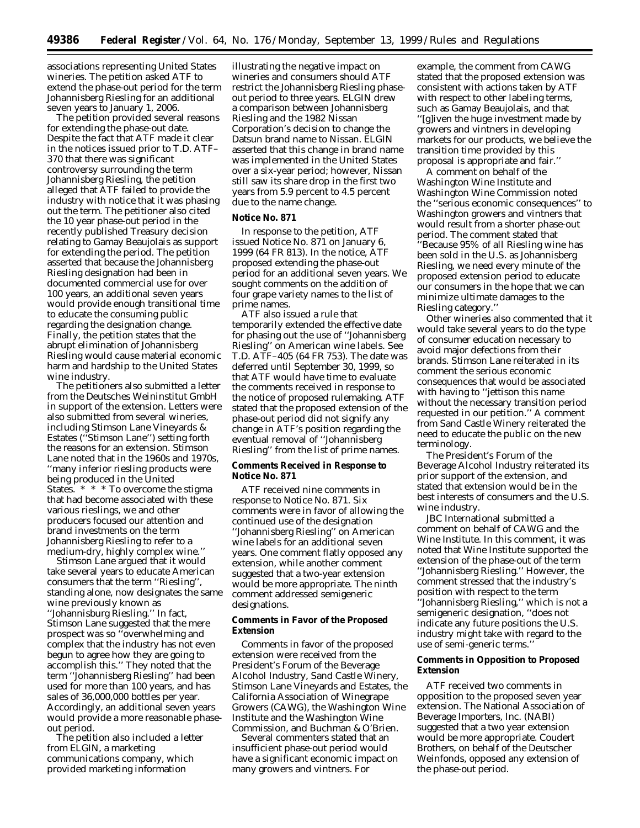associations representing United States wineries. The petition asked ATF to extend the phase-out period for the term Johannisberg Riesling for an additional seven years to January 1, 2006.

The petition provided several reasons for extending the phase-out date. Despite the fact that ATF made it clear in the notices issued prior to T.D. ATF– 370 that there was significant controversy surrounding the term Johannisberg Riesling, the petition alleged that ATF failed to provide the industry with notice that it was phasing out the term. The petitioner also cited the 10 year phase-out period in the recently published Treasury decision relating to Gamay Beaujolais as support for extending the period. The petition asserted that because the Johannisberg Riesling designation had been in documented commercial use for over 100 years, an additional seven years would provide enough transitional time to educate the consuming public regarding the designation change. Finally, the petition states that the abrupt elimination of Johannisberg Riesling would cause material economic harm and hardship to the United States wine industry.

The petitioners also submitted a letter from the Deutsches Weininstitut GmbH in support of the extension. Letters were also submitted from several wineries, including Stimson Lane Vineyards & Estates (''Stimson Lane'') setting forth the reasons for an extension. Stimson Lane noted that in the 1960s and 1970s, ''many inferior riesling products were being produced in the United States. \* \* \* To overcome the stigma that had become associated with these various rieslings, we and other producers focused our attention and brand investments on the term Johannisberg Riesling to refer to a medium-dry, highly complex wine.''

Stimson Lane argued that it would take several years to educate American consumers that the term ''Riesling'', standing alone, now designates the same wine previously known as ''Johannisburg Riesling.'' In fact, Stimson Lane suggested that the mere prospect was so ''overwhelming and complex that the industry has not even begun to agree how they are going to accomplish this.'' They noted that the term ''Johannisberg Riesling'' had been used for more than 100 years, and has sales of 36,000,000 bottles per year. Accordingly, an additional seven years would provide a more reasonable phaseout period.

The petition also included a letter from ELGIN, a marketing communications company, which provided marketing information

illustrating the negative impact on wineries and consumers should ATF restrict the Johannisberg Riesling phaseout period to three years. ELGIN drew a comparison between Johannisberg Riesling and the 1982 Nissan Corporation's decision to change the Datsun brand name to Nissan. ELGIN asserted that this change in brand name was implemented in the United States over a six-year period; however, Nissan still saw its share drop in the first two years from 5.9 percent to 4.5 percent due to the name change.

#### **Notice No. 871**

In response to the petition, ATF issued Notice No. 871 on January 6, 1999 (64 FR 813). In the notice, ATF proposed extending the phase-out period for an additional seven years. We sought comments on the addition of four grape variety names to the list of prime names.

ATF also issued a rule that temporarily extended the effective date for phasing out the use of ''Johannisberg Riesling'' on American wine labels. *See* T.D. ATF–405 (64 FR 753). The date was deferred until September 30, 1999, so that ATF would have time to evaluate the comments received in response to the notice of proposed rulemaking. ATF stated that the proposed extension of the phase-out period did not signify any change in ATF's position regarding the eventual removal of ''Johannisberg Riesling'' from the list of prime names.

## **Comments Received in Response to Notice No. 871**

ATF received nine comments in response to Notice No. 871. Six comments were in favor of allowing the continued use of the designation ''Johannisberg Riesling'' on American wine labels for an additional seven years. One comment flatly opposed any extension, while another comment suggested that a two-year extension would be more appropriate. The ninth comment addressed semigeneric designations.

## **Comments in Favor of the Proposed Extension**

Comments in favor of the proposed extension were received from the President's Forum of the Beverage Alcohol Industry, Sand Castle Winery, Stimson Lane Vineyards and Estates, the California Association of Winegrape Growers (CAWG), the Washington Wine Institute and the Washington Wine Commission, and Buchman & O'Brien.

Several commenters stated that an insufficient phase-out period would have a significant economic impact on many growers and vintners. For

example, the comment from CAWG stated that the proposed extension was consistent with actions taken by ATF with respect to other labeling terms, such as Gamay Beaujolais, and that ''[g]iven the huge investment made by growers and vintners in developing markets for our products, we believe the transition time provided by this proposal is appropriate and fair.''

A comment on behalf of the Washington Wine Institute and Washington Wine Commission noted the ''serious economic consequences'' to Washington growers and vintners that would result from a shorter phase-out period. The comment stated that ''Because 95% of all Riesling wine has been sold in the U.S. as Johannisberg Riesling, we need every minute of the proposed extension period to educate our consumers in the hope that we can minimize ultimate damages to the Riesling category.''

Other wineries also commented that it would take several years to do the type of consumer education necessary to avoid major defections from their brands. Stimson Lane reiterated in its comment the serious economic consequences that would be associated with having to ''jettison this name without the necessary transition period requested in our petition.'' A comment from Sand Castle Winery reiterated the need to educate the public on the new terminology.

The President's Forum of the Beverage Alcohol Industry reiterated its prior support of the extension, and stated that extension would be in the best interests of consumers and the U.S. wine industry.

JBC International submitted a comment on behalf of CAWG and the Wine Institute. In this comment, it was noted that Wine Institute supported the extension of the phase-out of the term ''Johannisberg Riesling.'' However, the comment stressed that the industry's position with respect to the term ''Johannisberg Riesling,'' which is not a semigeneric designation, ''does not indicate any future positions the U.S. industry might take with regard to the use of semi-generic terms.''

# **Comments in Opposition to Proposed Extension**

ATF received two comments in opposition to the proposed seven year extension. The National Association of Beverage Importers, Inc. (NABI) suggested that a two year extension would be more appropriate. Coudert Brothers, on behalf of the Deutscher Weinfonds, opposed any extension of the phase-out period.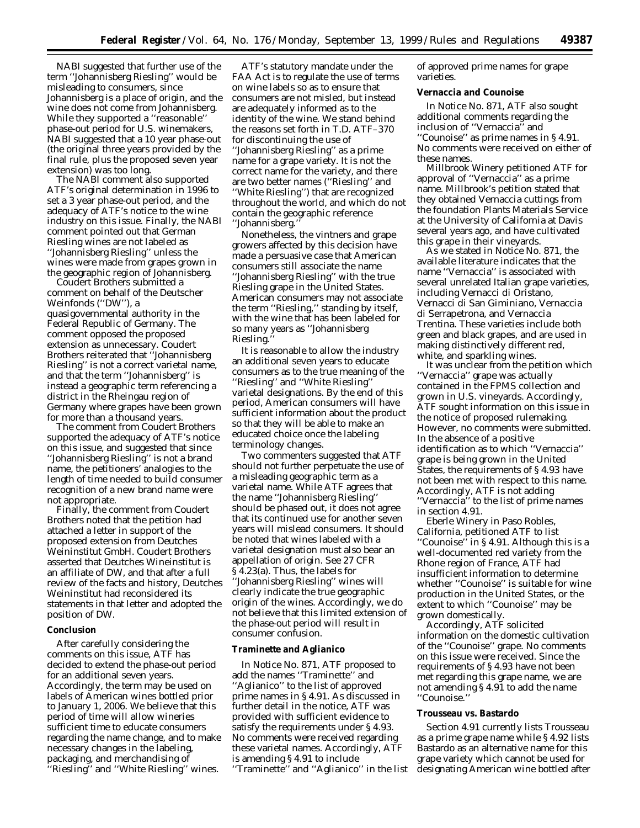NABI suggested that further use of the term ''Johannisberg Riesling'' would be misleading to consumers, since Johannisberg is a place of origin, and the wine does not come from Johannisberg. While they supported a ''reasonable'' phase-out period for U.S. winemakers, NABI suggested that a 10 year phase-out (the original three years provided by the final rule, plus the proposed seven year extension) was too long.

The NABI comment also supported ATF's original determination in 1996 to set a 3 year phase-out period, and the adequacy of ATF's notice to the wine industry on this issue. Finally, the NABI comment pointed out that German Riesling wines are not labeled as ''Johannisberg Riesling'' unless the wines were made from grapes grown in the geographic region of Johannisberg.

Coudert Brothers submitted a comment on behalf of the Deutscher Weinfonds (''DW''), a quasigovernmental authority in the Federal Republic of Germany. The comment opposed the proposed extension as unnecessary. Coudert Brothers reiterated that ''Johannisberg Riesling'' is not a correct varietal name, and that the term ''Johannisberg'' is instead a geographic term referencing a district in the Rheingau region of Germany where grapes have been grown for more than a thousand years.

The comment from Coudert Brothers supported the adequacy of ATF's notice on this issue, and suggested that since ''Johannisberg Riesling'' is not a brand name, the petitioners' analogies to the length of time needed to build consumer recognition of a new brand name were not appropriate.

Finally, the comment from Coudert Brothers noted that the petition had attached a letter in support of the proposed extension from Deutches Weininstitut GmbH. Coudert Brothers asserted that Deutches Wineinstitut is an affiliate of DW, and that after a full review of the facts and history, Deutches Weininstitut had reconsidered its statements in that letter and adopted the position of DW.

## **Conclusion**

After carefully considering the comments on this issue, ATF has decided to extend the phase-out period for an additional seven years. Accordingly, the term may be used on labels of American wines bottled prior to January 1, 2006. We believe that this period of time will allow wineries sufficient time to educate consumers regarding the name change, and to make necessary changes in the labeling, packaging, and merchandising of ''Riesling'' and ''White Riesling'' wines.

ATF's statutory mandate under the FAA Act is to regulate the use of terms on wine labels so as to ensure that consumers are not misled, but instead are adequately informed as to the identity of the wine. We stand behind the reasons set forth in T.D. ATF–370 for discontinuing the use of ''Johannisberg Riesling'' as a prime name for a grape variety. It is not the correct name for the variety, and there are two better names (''Riesling'' and ''White Riesling'') that are recognized throughout the world, and which do not contain the geographic reference ''Johannisberg.''

Nonetheless, the vintners and grape growers affected by this decision have made a persuasive case that American consumers still associate the name ''Johannisberg Riesling'' with the true Riesling grape in the United States. American consumers may not associate the term ''Riesling,'' standing by itself, with the wine that has been labeled for so many years as ''Johannisberg Riesling.

It is reasonable to allow the industry an additional seven years to educate consumers as to the true meaning of the ''Riesling'' and ''White Riesling'' varietal designations. By the end of this period, American consumers will have sufficient information about the product so that they will be able to make an educated choice once the labeling terminology changes.

Two commenters suggested that ATF should not further perpetuate the use of a misleading geographic term as a varietal name. While ATF agrees that the name ''Johannisberg Riesling'' should be phased out, it does not agree that its continued use for another seven years will mislead consumers. It should be noted that wines labeled with a varietal designation must also bear an appellation of origin. *See* 27 CFR § 4.23(a). Thus, the labels for ''Johannisberg Riesling'' wines will clearly indicate the true geographic origin of the wines. Accordingly, we do not believe that this limited extension of the phase-out period will result in consumer confusion.

#### **Traminette and Aglianico**

In Notice No. 871, ATF proposed to add the names ''Traminette'' and ''Aglianico'' to the list of approved prime names in § 4.91. As discussed in further detail in the notice, ATF was provided with sufficient evidence to satisfy the requirements under § 4.93. No comments were received regarding these varietal names. Accordingly, ATF is amending § 4.91 to include

''Traminette'' and ''Aglianico'' in the list

of approved prime names for grape varieties.

# **Vernaccia and Counoise**

In Notice No. 871, ATF also sought additional comments regarding the inclusion of ''Vernaccia'' and ''Counoise'' as prime names in § 4.91. No comments were received on either of these names.

Millbrook Winery petitioned ATF for approval of ''Vernaccia'' as a prime name. Millbrook's petition stated that they obtained Vernaccia cuttings from the foundation Plants Materials Service at the University of California at Davis several years ago, and have cultivated this grape in their vineyards.

As we stated in Notice No. 871, the available literature indicates that the name ''Vernaccia'' is associated with several unrelated Italian grape varieties, including Vernacci di Oristano, Vernacci di San Giminiano, Vernaccia di Serrapetrona, and Vernaccia Trentina. These varieties include both green and black grapes, and are used in making distinctively different red, white, and sparkling wines.

It was unclear from the petition which ''Vernaccia'' grape was actually contained in the FPMS collection and grown in U.S. vineyards. Accordingly, ATF sought information on this issue in the notice of proposed rulemaking. However, no comments were submitted. In the absence of a positive identification as to which ''Vernaccia'' grape is being grown in the United States, the requirements of § 4.93 have not been met with respect to this name. Accordingly, ATF is not adding ''Vernaccia'' to the list of prime names in section 4.91.

Eberle Winery in Paso Robles, California, petitioned ATF to list ''Counoise'' in § 4.91. Although this is a well-documented red variety from the Rhone region of France, ATF had insufficient information to determine whether ''Counoise'' is suitable for wine production in the United States, or the extent to which ''Counoise'' may be grown domestically.

Accordingly, ATF solicited information on the domestic cultivation of the ''Counoise'' grape. No comments on this issue were received. Since the requirements of § 4.93 have not been met regarding this grape name, we are not amending § 4.91 to add the name ''Counoise.''

#### **Trousseau vs. Bastardo**

Section 4.91 currently lists Trousseau as a prime grape name while § 4.92 lists Bastardo as an alternative name for this grape variety which cannot be used for designating American wine bottled after